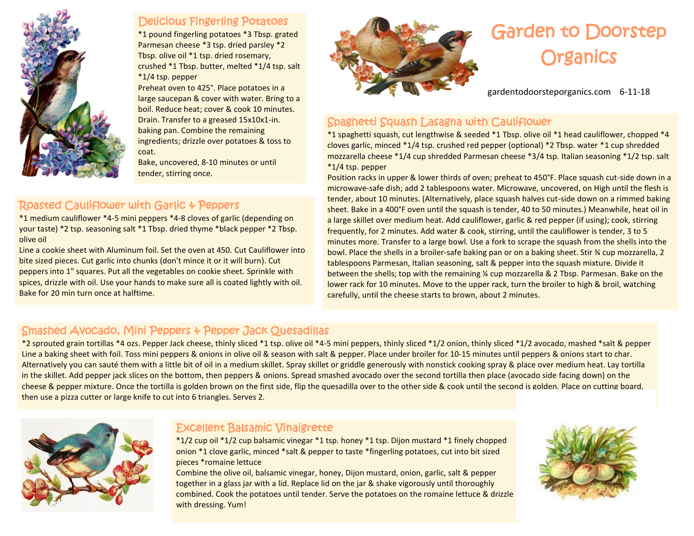

#### Delicious Fingerling Potatoes

\*1 pound fingerling potatoes \*3 Tbsp. grated Parmesan cheese \*3 tsp. dried parsley \*2 Tbsp. olive oil \*1 tsp. dried rosemary, crushed \*1 Tbsp. butter, melted \*1/4 tsp. salt \*1/4 tsp. pepper

Preheat oven to 425°. Place potatoes in a large saucepan & cover with water. Bring to a boil. Reduce heat; cover & cook 10 minutes. Drain. Transfer to a greased 15x10x1-in. baking pan. Combine the remaining ingredients; drizzle over potatoes & toss to coat.

Bake, uncovered, 8-10 minutes or until tender, stirring once.

### Roasted Cauliflower with Garlic & Peppers

\*1 medium cauliflower \*4-5 mini peppers \*4-8 cloves of garlic (depending on your taste) \*2 tsp. seasoning salt \*1 Tbsp. dried thyme \*black pepper \*2 Tbsp. olive oil

Line a cookie sheet with Aluminum foil. Set the oven at 450. Cut Cauliflower into bite sized pieces. Cut garlic into chunks (don't mince it or it will burn). Cut peppers into 1" squares. Put all the vegetables on cookie sheet. Sprinkle with spices, drizzle with oil. Use your hands to make sure all is coated lightly with oil. Bake for 20 min turn once at halftime.



# Garden to Doorstep **Organics**

gardentodoorsteporganics.com 6-11-18

# Spaghetti Squash Lasagna with Cauliflower

\*1 spaghetti squash, cut lengthwise & seeded \*1 Tbsp. olive oil \*1 head cauliflower, chopped \*4 cloves garlic, minced \*1/4 tsp. crushed red pepper (optional) \*2 Tbsp. water \*1 cup shredded mozzarella cheese \*1/4 cup shredded Parmesan cheese \*3/4 tsp. Italian seasoning \*1/2 tsp. salt \*1/4 tsp. pepper

Position racks in upper & lower thirds of oven; preheat to 450°F. Place squash cut-side down in a microwave-safe dish; add 2 tablespoons water. Microwave, uncovered, on High until the flesh is tender, about 10 minutes. (Alternatively, place squash halves cut-side down on a rimmed baking sheet. Bake in a 400°F oven until the squash is tender, 40 to 50 minutes.) Meanwhile, heat oil in a large skillet over medium heat. Add cauliflower, garlic & red pepper (if using); cook, stirring frequently, for 2 minutes. Add water & cook, stirring, until the cauliflower is tender, 3 to 5 minutes more. Transfer to a large bowl. Use a fork to scrape the squash from the shells into the bowl. Place the shells in a broiler-safe baking pan or on a baking sheet. Stir ¾ cup mozzarella, 2 tablespoons Parmesan, Italian seasoning, salt & pepper into the squash mixture. Divide it between the shells; top with the remaining ¼ cup mozzarella & 2 Tbsp. Parmesan. Bake on the lower rack for 10 minutes. Move to the upper rack, turn the broiler to high & broil, watching carefully, until the cheese starts to brown, about 2 minutes.

# Smashed Avocado, Mini Peppers & Pepper Jack Quesadillas

\*2 sprouted grain tortillas \*4 ozs. Pepper Jack cheese, thinly sliced \*1 tsp. olive oil \*4-5 mini peppers, thinly sliced \*1/2 onion, thinly sliced \*1/2 avocado, mashed \*salt & pepper Line a baking sheet with foil. Toss mini peppers & onions in olive oil & season with salt & pepper. Place under broiler for 10-15 minutes until peppers & onions start to char. Alternatively you can sauté them with a little bit of oil in a medium skillet. Spray skillet or griddle generously with nonstick cooking spray & place over medium heat. Lay tortilla in the skillet. Add pepper jack slices on the bottom, then peppers & onions. Spread smashed avocado over the second tortilla then place (avocado side facing down) on the cheese & pepper mixture. Once the tortilla is golden brown on the first side, flip the quesadilla over to the other side & cook until the second is golden. Place on cutting board, then use a pizza cutter or large knife to cut into 6 triangles. Serves 2.



## Excellent Balsamic Vinaigrette

\*1/2 cup oil \*1/2 cup balsamic vinegar \*1 tsp. honey \*1 tsp. Dijon mustard \*1 finely chopped onion \*1 clove garlic, minced \*salt & pepper to taste \*fingerling potatoes, cut into bit sized pieces \*romaine lettuce

Combine the olive oil, balsamic vinegar, honey, Dijon mustard, onion, garlic, salt & pepper together in a glass jar with a lid. Replace lid on the jar & shake vigorously until thoroughly combined. Cook the potatoes until tender. Serve the potatoes on the romaine lettuce & drizzle with dressing. Yum!